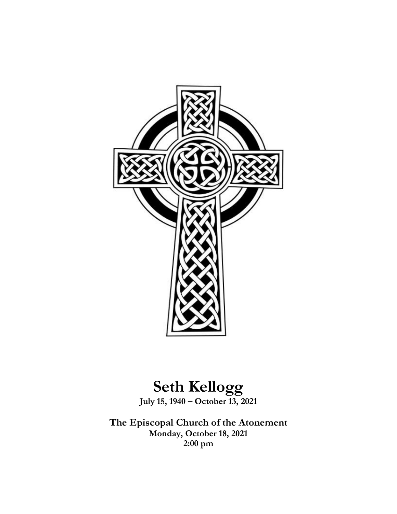

# **Seth Kellogg**

**July 15, 1940 – October 13, 2021**

**The Episcopal Church of the Atonement Monday, October 18, 2021 2:00 pm**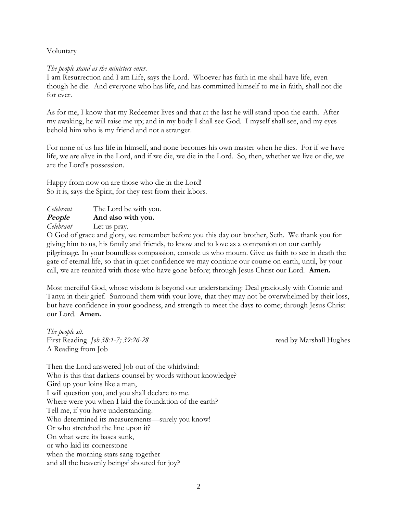# Voluntary

# *The people stand as the ministers enter.*

I am Resurrection and I am Life, says the Lord. Whoever has faith in me shall have life, even though he die. And everyone who has life, and has committed himself to me in faith, shall not die for ever*.*

As for me, I know that my Redeemer lives and that at the last he will stand upon the earth. After my awaking, he will raise me up; and in my body I shall see God. I myself shall see, and my eyes behold him who is my friend and not a stranger.

For none of us has life in himself, and none becomes his own master when he dies. For if we have life, we are alive in the Lord, and if we die, we die in the Lord. So, then, whether we live or die, we are the Lord's possession.

Happy from now on are those who die in the Lord! So it is, says the Spirit, for they rest from their labors.

| Celebrant | The Lord be with you. |
|-----------|-----------------------|
| People    | And also with you.    |
| Celebrant | Let us pray.          |

O God of grace and glory, we remember before you this day our brother, Seth. We thank you for giving him to us, his family and friends, to know and to love as a companion on our earthly pilgrimage. In your boundless compassion, console us who mourn. Give us faith to see in death the gate of eternal life, so that in quiet confidence we may continue our course on earth, until, by your call, we are reunited with those who have gone before; through Jesus Christ our Lord. **Amen.**

Most merciful God, whose wisdom is beyond our understanding: Deal graciously with Connie and Tanya in their grief. Surround them with your love, that they may not be overwhelmed by their loss, but have confidence in your goodness, and strength to meet the days to come; through Jesus Christ our Lord. **Amen.**

*The people sit.* First Reading *Job 38:1-7; 39:26-28* read by Marshall Hughes A Reading from Job

Then the Lord answered Job out of the whirlwind: Who is this that darkens counsel by words without knowledge? Gird up your loins like a man, I will question you, and you shall declare to me. Where were you when I laid the foundation of the earth? Tell me, if you have understanding. Who determined its measurements—surely you know! Or who stretched the line upon it? On what were its bases sunk, or who laid its cornerstone when the morning stars sang together and all the heavenly being[s](javascript:void(0);)\* shouted for joy?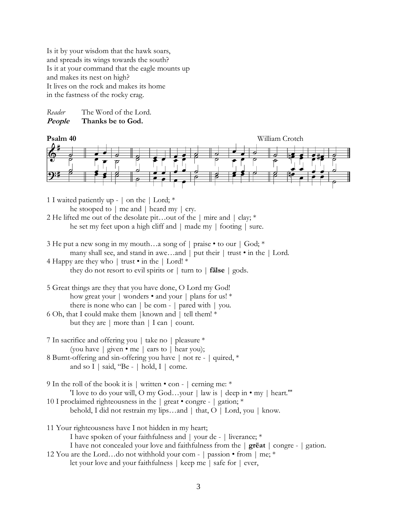Is it by your wisdom that the hawk soars, and spreads its wings towards the south? Is it at your command that the eagle mounts up and makes its nest on high? It lives on the rock and makes its home in the fastness of the rocky crag.

*Reader* The Word of the Lord. **People Thanks be to God.**

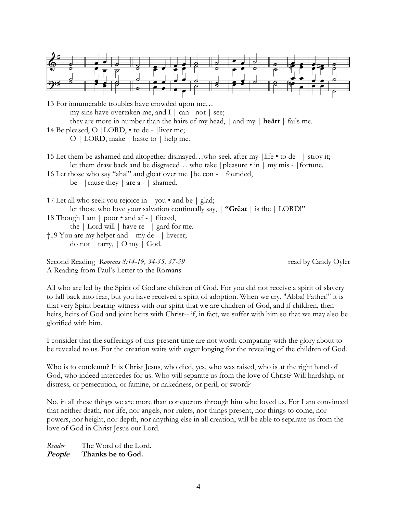

13 For innumerable troubles have crowded upon me… my sins have overtaken me, and  $I \mid \text{can}$  - not  $\mid$  see; they are more in number than the hairs of my head, | and my | **heärt** | fails me. 14 Be pleased, O |LORD, • to de - | liver me; O | LORD, make | haste to | help me. 15 Let them be ashamed and altogether dismayed…who seek after my |life • to de - | stroy it; let them draw back and be disgraced… who take |pleasure • in | my mis - |fortune. 16 Let those who say "aha!" and gloat over me |be con - | founded, be - |cause they | are a - | shamed.

17 Let all who seek you rejoice in | you • and be | glad; let those who love your salvation continually say, | **"Grëat** | is the | LORD!" 18 Though I am | poor • and af - | flicted, the | Lord will | have re - | gard for me. †19 You are my helper and | my de - | liverer; do not | tarry, | O my | God.

Second Reading *Romans 8:14-19, 34-35, 37-39* read by Candy Oyler A Reading from Paul's Letter to the Romans

All who are led by the Spirit of God are children of God. For you did not receive a spirit of slavery to fall back into fear, but you have received a spirit of adoption. When we cry, "Abba! Father!" it is that very Spirit bearing witness with our spirit that we are children of God, and if children, then heirs, heirs of God and joint heirs with Christ-- if, in fact, we suffer with him so that we may also be glorified with him.

I consider that the sufferings of this present time are not worth comparing with the glory about to be revealed to us. For the creation waits with eager longing for the revealing of the children of God.

Who is to condemn? It is Christ Jesus, who died, yes, who was raised, who is at the right hand of God, who indeed intercedes for us. Who will separate us from the love of Christ? Will hardship, or distress, or persecution, or famine, or nakedness, or peril, or sword?

No, in all these things we are more than conquerors through him who loved us. For I am convinced that neither death, nor life, nor angels, nor rulers, nor things present, nor things to come, nor powers, nor height, nor depth, nor anything else in all creation, will be able to separate us from the love of God in Christ Jesus our Lord.

*Reader* The Word of the Lord. **People Thanks be to God.**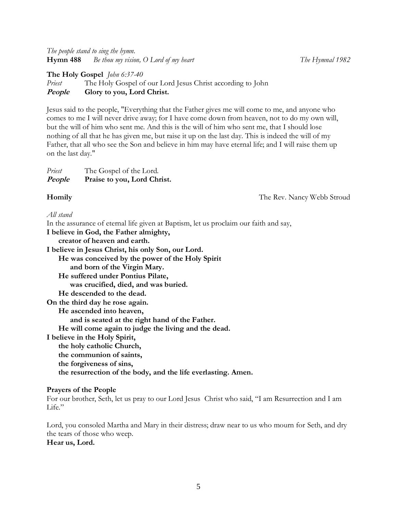*The people stand to sing the hymn.* **Hymn 488** *Be thou my vision, O Lord of my heart The Hymnal 1982*

**The Holy Gospel** *John 6:37-40*

*Priest* The Holy Gospel of our Lord Jesus Christ according to John **People Glory to you, Lord Christ.**

Jesus said to the people, "Everything that the Father gives me will come to me, and anyone who comes to me I will never drive away; for I have come down from heaven, not to do my own will, but the will of him who sent me. And this is the will of him who sent me, that I should lose nothing of all that he has given me, but raise it up on the last day. This is indeed the will of my Father, that all who see the Son and believe in him may have eternal life; and I will raise them up on the last day."

*Priest* The Gospel of the Lord. **People Praise to you, Lord Christ.**

# *All stand*

In the assurance of eternal life given at Baptism, let us proclaim our faith and say, **I believe in God, the Father almighty, creator of heaven and earth. I believe in Jesus Christ, his only Son, our Lord. He was conceived by the power of the Holy Spirit and born of the Virgin Mary. He suffered under Pontius Pilate, was crucified, died, and was buried. He descended to the dead. On the third day he rose again. He ascended into heaven, and is seated at the right hand of the Father. He will come again to judge the living and the dead. I believe in the Holy Spirit, the holy catholic Church, the communion of saints, the forgiveness of sins, the resurrection of the body, and the life everlasting. Amen.**

# **Prayers of the People**

For our brother, Seth, let us pray to our Lord Jesus Christ who said, "I am Resurrection and I am Life."

Lord, you consoled Martha and Mary in their distress; draw near to us who mourn for Seth, and dry the tears of those who weep. **Hear us, Lord.**

**Homily** The Rev. Nancy Webb Stroud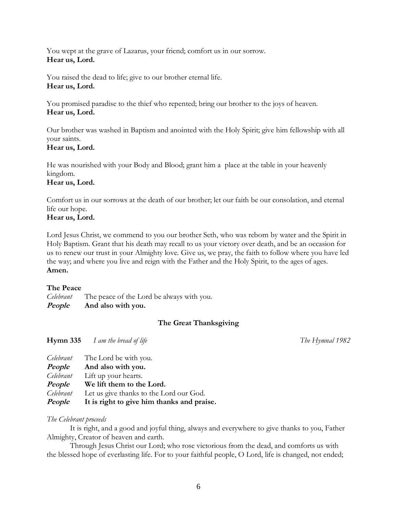You wept at the grave of Lazarus, your friend; comfort us in our sorrow. **Hear us, Lord.**

You raised the dead to life; give to our brother eternal life. **Hear us, Lord.**

You promised paradise to the thief who repented; bring our brother to the joys of heaven. **Hear us, Lord.**

Our brother was washed in Baptism and anointed with the Holy Spirit; give him fellowship with all your saints.

**Hear us, Lord.**

He was nourished with your Body and Blood; grant him a place at the table in your heavenly kingdom.

# **Hear us, Lord.**

Comfort us in our sorrows at the death of our brother; let our faith be our consolation, and eternal life our hope.

# **Hear us, Lord.**

Lord Jesus Christ, we commend to you our brother Seth, who was reborn by water and the Spirit in Holy Baptism. Grant that his death may recall to us your victory over death, and be an occasion for us to renew our trust in your Almighty love. Give us, we pray, the faith to follow where you have led the way; and where you live and reign with the Father and the Holy Spirit, to the ages of ages. **Amen.**

# **The Peace**

*Celebrant* The peace of the Lord be always with you. **People And also with you.**

# **The Great Thanksgiving**

|           | <b>Hymn 335</b> I am the bread of life     | The Hymnal 1982 |
|-----------|--------------------------------------------|-----------------|
| Celebrant | The Lord be with you.                      |                 |
| People    | And also with you.                         |                 |
| Celebrant | Lift up your hearts.                       |                 |
| People    | We lift them to the Lord.                  |                 |
| Celebrant | Let us give thanks to the Lord our God.    |                 |
| People    | It is right to give him thanks and praise. |                 |

# *The Celebrant proceeds*

It is right, and a good and joyful thing, always and everywhere to give thanks to you, Father Almighty, Creator of heaven and earth.

Through Jesus Christ our Lord; who rose victorious from the dead, and comforts us with the blessed hope of everlasting life. For to your faithful people, O Lord, life is changed, not ended;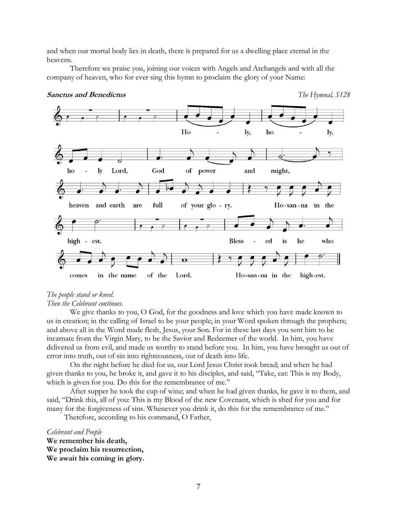and when our mortal body lies in death, there is prepared for us a dwelling place eternal in the heavens.

Therefore we praise you, joining our voices with Angels and Archangels and with all the company of heaven, who for ever sing this hymn to proclaim the glory of your Name:



### *The people stand or kneel.*

# *Then the Celebrant continues.*

We give thanks to you, O God, for the goodness and love which you have made known to us in creation; in the calling of Israel to be your people; in your Word spoken through the prophets; and above all in the Word made flesh, Jesus, your Son. For in these last days you sent him to be incarnate from the Virgin Mary, to be the Savior and Redeemer of the world. In him, you have delivered us from evil, and made us worthy to stand before you. In him, you have brought us out of error into truth, out of sin into righteousness, out of death into life.

On the night before he died for us, our Lord Jesus Christ took bread; and when he had given thanks to you, he broke it, and gave it to his disciples, and said, "Take, eat: This is my Body, which is given for you. Do this for the remembrance of me."

After supper he took the cup of wine; and when he had given thanks, he gave it to them, and said, "Drink this, all of you: This is my Blood of the new Covenant, which is shed for you and for many for the forgiveness of sins. Whenever you drink it, do this for the remembrance of me."

Therefore, according to his command, O Father,

*Celebrant and People* **We remember his death, We proclaim his resurrection, We await his coming in glory.**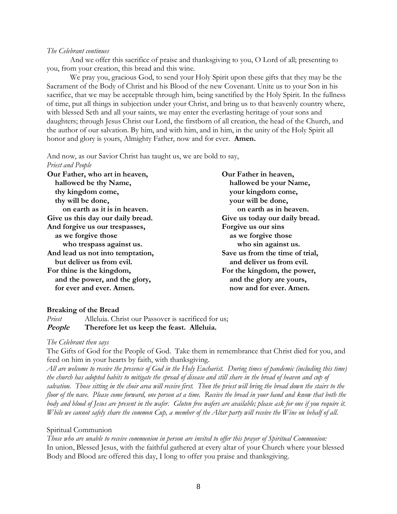#### *The Celebrant continues*

And we offer this sacrifice of praise and thanksgiving to you, O Lord of all; presenting to you, from your creation, this bread and this wine.

We pray you, gracious God, to send your Holy Spirit upon these gifts that they may be the Sacrament of the Body of Christ and his Blood of the new Covenant. Unite us to your Son in his sacrifice, that we may be acceptable through him, being sanctified by the Holy Spirit. In the fullness of time, put all things in subjection under your Christ, and bring us to that heavenly country where, with blessed Seth and all your saints, we may enter the everlasting heritage of your sons and daughters; through Jesus Christ our Lord, the firstborn of all creation, the head of the Church, and the author of our salvation. By him, and with him, and in him, in the unity of the Holy Spirit all honor and glory is yours, Almighty Father, now and for ever. **Amen.**

And now, as our Savior Christ has taught us, we are bold to say, *Priest and People*

| Our Father, who art in heaven,    | Our Father in heaven,           |
|-----------------------------------|---------------------------------|
| hallowed be thy Name,             | hallowed be your Name,          |
| thy kingdom come,                 | your kingdom come,              |
| thy will be done,                 | your will be done,              |
| on earth as it is in heaven.      | on earth as in heaven.          |
| Give us this day our daily bread. | Give us today our daily bread.  |
| And forgive us our trespasses,    | Forgive us our sins             |
| as we forgive those               | as we forgive those             |
| who trespass against us.          | who sin against us.             |
| And lead us not into temptation,  | Save us from the time of trial, |
| but deliver us from evil.         | and deliver us from evil.       |
| For thine is the kingdom,         | For the kingdom, the power,     |
| and the power, and the glory,     | and the glory are yours,        |
| for ever and ever. Amen.          | now and for ever. Amen.         |
|                                   |                                 |

#### **Breaking of the Bread**

| Priest | Alleluia. Christ our Passover is sacrificed for us; |
|--------|-----------------------------------------------------|
| People | Therefore let us keep the feast. Alleluia.          |

#### *The Celebrant then says*

The Gifts of God for the People of God. Take them in remembrance that Christ died for you, and feed on him in your hearts by faith, with thanksgiving.

*All are welcome to receive the presence of God in the Holy Eucharist. During times of pandemic (including this time) the church has adopted habits to mitigate the spread of disease and still share in the bread of heaven and cup of salvation. Those sitting in the choir area will receive first. Then the priest will bring the bread down the stairs to the floor of the nave. Please come forward, one person at a time. Receive the bread in your hand and know that both the body and blood of Jesus are present in the wafer. Gluten free wafers are available; please ask for one if you require it. While we cannot safely share the common Cup, a member of the Altar party will receive the Wine on behalf of all.*

### Spiritual Communion

*Those who are unable to receive communion in person are invited to offer this prayer of Spiritual Communion:* In union, Blessed Jesus, with the faithful gathered at every altar of your Church where your blessed Body and Blood are offered this day, I long to offer you praise and thanksgiving.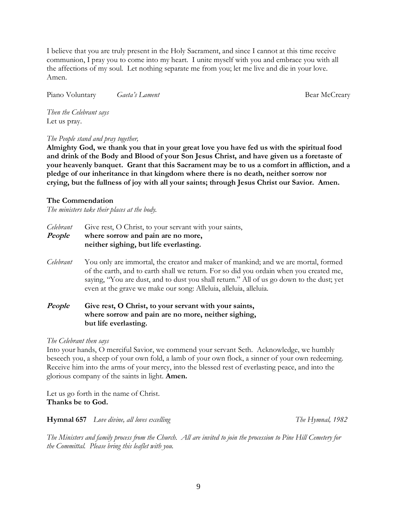I believe that you are truly present in the Holy Sacrament, and since I cannot at this time receive communion, I pray you to come into my heart. I unite myself with you and embrace you with all the affections of my soul. Let nothing separate me from you; let me live and die in your love. Amen.

Piano Voluntary *Gaeta's Lament* Bear McCreary

*Then the Celebrant says* Let us pray.

*The People stand and pray together,* 

**Almighty God, we thank you that in your great love you have fed us with the spiritual food and drink of the Body and Blood of your Son Jesus Christ, and have given us a foretaste of your heavenly banquet. Grant that this Sacrament may be to us a comfort in affliction, and a pledge of our inheritance in that kingdom where there is no death, neither sorrow nor crying, but the fullness of joy with all your saints; through Jesus Christ our Savior. Amen.**

# **The Commendation**

*The ministers take their places at the body.*

*Celebrant* Give rest, O Christ, to your servant with your saints, **People where sorrow and pain are no more, neither sighing, but life everlasting.** 

*Celebrant* You only are immortal, the creator and maker of mankind; and we are mortal, formed of the earth, and to earth shall we return. For so did you ordain when you created me, saying, "You are dust, and to dust you shall return." All of us go down to the dust; yet even at the grave we make our song: Alleluia, alleluia, alleluia.

# **People Give rest, O Christ, to your servant with your saints, where sorrow and pain are no more, neither sighing, but life everlasting.**

# *The Celebrant then says*

Into your hands, O merciful Savior, we commend your servant Seth. Acknowledge, we humbly beseech you, a sheep of your own fold, a lamb of your own flock, a sinner of your own redeeming. Receive him into the arms of your mercy, into the blessed rest of everlasting peace, and into the glorious company of the saints in light. **Amen.**

Let us go forth in the name of Christ. **Thanks be to God.**

**Hymnal 657** *Love divine, all loves excelling The Hymnal, 1982*

*The Ministers and family process from the Church. All are invited to join the procession to Pine Hill Cemetery for the Committal. Please bring this leaflet with you.*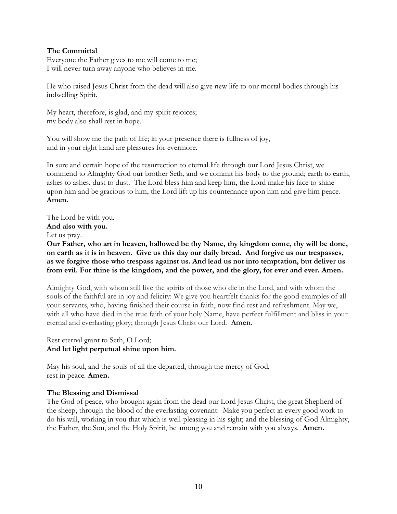# **The Committal**

Everyone the Father gives to me will come to me; I will never turn away anyone who believes in me.

He who raised Jesus Christ from the dead will also give new life to our mortal bodies through his indwelling Spirit.

My heart, therefore, is glad, and my spirit rejoices; my body also shall rest in hope.

You will show me the path of life; in your presence there is fullness of joy, and in your right hand are pleasures for evermore.

In sure and certain hope of the resurrection to eternal life through our Lord Jesus Christ, we commend to Almighty God our brother Seth, and we commit his body to the ground; earth to earth, ashes to ashes, dust to dust. The Lord bless him and keep him, the Lord make his face to shine upon him and be gracious to him, the Lord lift up his countenance upon him and give him peace. **Amen.**

The Lord be with you. **And also with you.** Let us pray.

**Our Father, who art in heaven, hallowed be thy Name, thy kingdom come, thy will be done, on earth as it is in heaven. Give us this day our daily bread. And forgive us our trespasses, as we forgive those who trespass against us. And lead us not into temptation, but deliver us from evil. For thine is the kingdom, and the power, and the glory, for ever and ever. Amen.**

Almighty God, with whom still live the spirits of those who die in the Lord, and with whom the souls of the faithful are in joy and felicity: We give you heartfelt thanks for the good examples of all your servants, who, having finished their course in faith, now find rest and refreshment. May we, with all who have died in the true faith of your holy Name, have perfect fulfillment and bliss in your eternal and everlasting glory; through Jesus Christ our Lord. **Amen.**

Rest eternal grant to Seth, O Lord; **And let light perpetual shine upon him.**

May his soul, and the souls of all the departed, through the mercy of God, rest in peace. **Amen.**

# **The Blessing and Dismissal**

The God of peace, who brought again from the dead our Lord Jesus Christ, the great Shepherd of the sheep, through the blood of the everlasting covenant: Make you perfect in every good work to do his will, working in you that which is well-pleasing in his sight; and the blessing of God Almighty, the Father, the Son, and the Holy Spirit, be among you and remain with you always. **Amen.**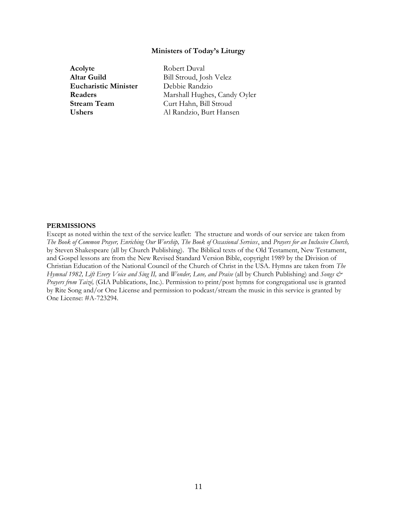#### **Ministers of Today's Liturgy**

| Acolyte                     | Robert Duval                 |
|-----------------------------|------------------------------|
| <b>Altar Guild</b>          | Bill Stroud, Josh Velez      |
| <b>Eucharistic Minister</b> | Debbie Randzio               |
| Readers                     | Marshall Hughes, Candy Oyler |
| <b>Stream Team</b>          | Curt Hahn, Bill Stroud       |
| <b>Ushers</b>               | Al Randzio, Burt Hansen      |
|                             |                              |

#### **PERMISSIONS**

Except as noted within the text of the service leaflet: The structure and words of our service are taken from *The Book of Common Prayer, Enriching Our Worship, The Book of Occasional Services*, and *Prayers for an Inclusive Church,*  by Steven Shakespeare (all by Church Publishing).The Biblical texts of the Old Testament, New Testament, and Gospel lessons are from the New Revised Standard Version Bible, copyright 1989 by the Division of Christian Education of the National Council of the Church of Christ in the USA. Hymns are taken from *The Hymnal 1982, Lift Every Voice and Sing II,* and *Wonder, Love, and Praise* (all by Church Publishing) and *Songs & Prayers from Taizé,* (GIA Publications, Inc.). Permission to print/post hymns for congregational use is granted by Rite Song and/or One License and permission to podcast/stream the music in this service is granted by One License: #A-723294.